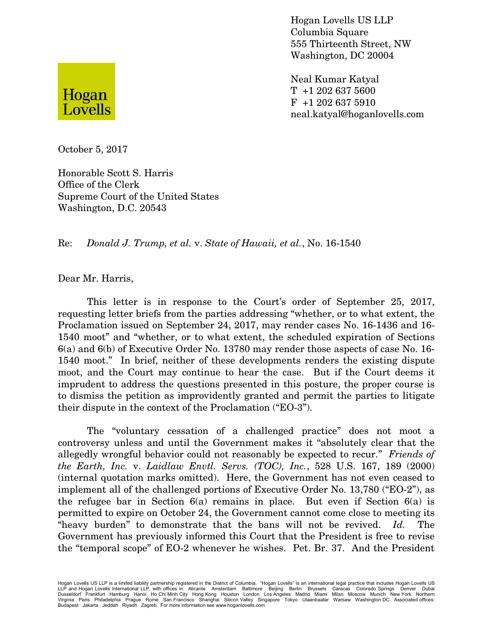

Neal Kumar Katyal T +1 202 637 5600 F +1 202 637 5910 neal.katyal@hoganlovells.com



October 5, 2017

Honorable Scott S. Harris Office of the Clerk Supreme Court of the United States Washington, D.C. 20543

Re: *Donald J. Trump, et al.* v. *State of Hawaii, et al.*, No. 16-1540

Dear Mr. Harris,

This letter is in response to the Court's order of September 25, 2017, requesting letter briefs from the parties addressing "whether, or to what extent, the Proclamation issued on September 24, 2017, may render cases No. 16-1436 and 16- 1540 moot" and "whether, or to what extent, the scheduled expiration of Sections 6(a) and 6(b) of Executive Order No. 13780 may render those aspects of case No. 16- 1540 moot." In brief, neither of these developments renders the existing dispute moot, and the Court may continue to hear the case. But if the Court deems it imprudent to address the questions presented in this posture, the proper course is to dismiss the petition as improvidently granted and permit the parties to litigate their dispute in the context of the Proclamation ("EO-3").

The "voluntary cessation of a challenged practice" does not moot a controversy unless and until the Government makes it "absolutely clear that the allegedly wrongful behavior could not reasonably be expected to recur." *Friends of the Earth, Inc.* v. *Laidlaw Envtl. Servs. (TOC), Inc.*, 528 U.S. 167, 189 (2000) (internal quotation marks omitted). Here, the Government has not even ceased to implement all of the challenged portions of Executive Order No. 13,780 ("EO-2"), as the refugee bar in Section  $6(a)$  remains in place. But even if Section  $6(a)$  is permitted to expire on October 24, the Government cannot come close to meeting its "heavy burden" to demonstrate that the bans will not be revived. *Id.* The Government has previously informed this Court that the President is free to revise the "temporal scope" of EO-2 whenever he wishes. Pet. Br. 37. And the President

Hogan Lovells US LLP is a limited liability partnership registered in the District of Columbia. "Hogan Lovells" is an international legal practice that includes Hogan Lovells US LLP and Hogan Lovells International LLP, with offices in: Alicante Amsterdam Baltimore Beijing Berlin Brussels Caracas Colorado Springs Denver Dubai<br>Dusseldorf Frankfurt Hamburg Hanoi Ho Chi Minh City Home Mond Lomdon Los Budapest Jakarta Jeddah Riyadh Zagreb. For more information see www.hoganlovells.com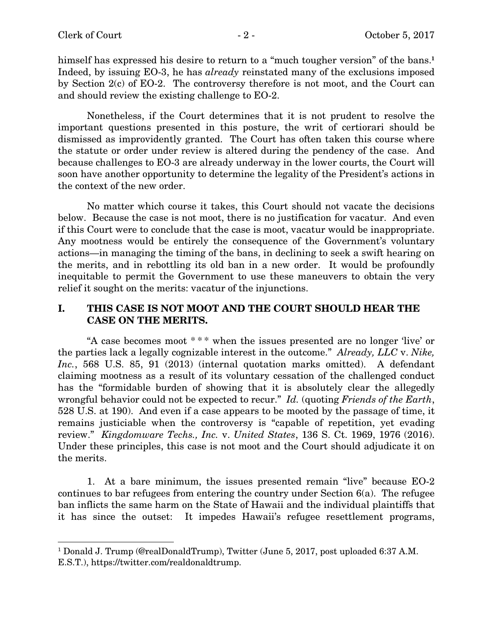himself has expressed his desire to return to a "much tougher version" of the bans.<sup>1</sup> Indeed, by issuing EO-3, he has *already* reinstated many of the exclusions imposed by Section 2(c) of EO-2. The controversy therefore is not moot, and the Court can and should review the existing challenge to EO-2.

Nonetheless, if the Court determines that it is not prudent to resolve the important questions presented in this posture, the writ of certiorari should be dismissed as improvidently granted. The Court has often taken this course where the statute or order under review is altered during the pendency of the case. And because challenges to EO-3 are already underway in the lower courts, the Court will soon have another opportunity to determine the legality of the President's actions in the context of the new order.

No matter which course it takes, this Court should not vacate the decisions below. Because the case is not moot, there is no justification for vacatur. And even if this Court were to conclude that the case is moot, vacatur would be inappropriate. Any mootness would be entirely the consequence of the Government's voluntary actions—in managing the timing of the bans, in declining to seek a swift hearing on the merits, and in rebottling its old ban in a new order. It would be profoundly inequitable to permit the Government to use these maneuvers to obtain the very relief it sought on the merits: vacatur of the injunctions.

## I. THIS CASE IS NOT MOOT AND THE COURT SHOULD HEAR THE CASE ON THE MERITS.

"A case becomes moot \* \* \* when the issues presented are no longer 'live' or the parties lack a legally cognizable interest in the outcome." *Already, LLC* v. *Nike,* Inc., 568 U.S. 85, 91 (2013) (internal quotation marks omitted). A defendant claiming mootness as a result of its voluntary cessation of the challenged conduct has the "formidable burden of showing that it is absolutely clear the allegedly wrongful behavior could not be expected to recur." *Id.* (quoting *Friends of the Earth*, 528 U.S. at 190). And even if a case appears to be mooted by the passage of time, it remains justiciable when the controversy is "capable of repetition, yet evading review." *Kingdomware Techs., Inc.* v. *United States*, 136 S. Ct. 1969, 1976 (2016). Under these principles, this case is not moot and the Court should adjudicate it on the merits.

1. At a bare minimum, the issues presented remain "live" because EO-2 continues to bar refugees from entering the country under Section 6(a). The refugee ban inflicts the same harm on the State of Hawaii and the individual plaintiffs that it has since the outset: It impedes Hawaii's refugee resettlement programs,

<sup>&</sup>lt;sup>1</sup> Donald J. Trump (@realDonaldTrump), Twitter (June 5, 2017, post uploaded 6:37 A.M. E.S.T.), https://twitter.com/realdonaldtrump.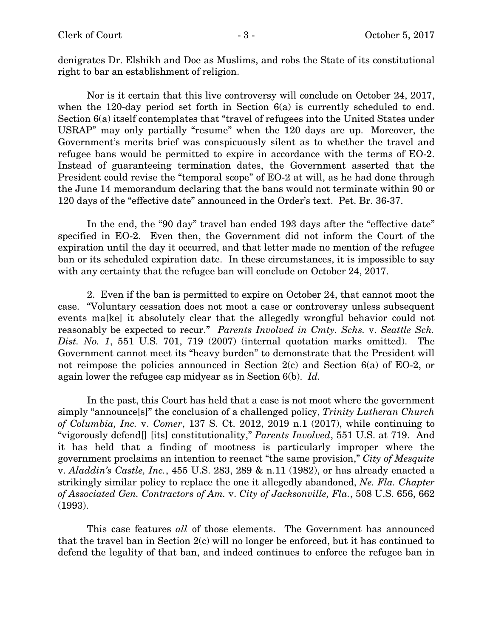denigrates Dr. Elshikh and Doe as Muslims, and robs the State of its constitutional right to bar an establishment of religion.

Nor is it certain that this live controversy will conclude on October 24, 2017, when the 120-day period set forth in Section 6(a) is currently scheduled to end. Section 6(a) itself contemplates that "travel of refugees into the United States under USRAP" may only partially "resume" when the 120 days are up. Moreover, the Government's merits brief was conspicuously silent as to whether the travel and refugee bans would be permitted to expire in accordance with the terms of EO-2. Instead of guaranteeing termination dates, the Government asserted that the President could revise the "temporal scope" of EO-2 at will, as he had done through the June 14 memorandum declaring that the bans would not terminate within 90 or 120 days of the "effective date" announced in the Order's text. Pet. Br. 36-37.

In the end, the "90 day" travel ban ended 193 days after the "effective date" specified in EO-2. Even then, the Government did not inform the Court of the expiration until the day it occurred, and that letter made no mention of the refugee ban or its scheduled expiration date. In these circumstances, it is impossible to say with any certainty that the refugee ban will conclude on October 24, 2017.

2. Even if the ban is permitted to expire on October 24, that cannot moot the case. "Voluntary cessation does not moot a case or controversy unless subsequent events ma[ke] it absolutely clear that the allegedly wrongful behavior could not reasonably be expected to recur." *Parents Involved in Cmty. Schs.* v. *Seattle Sch. Dist. No. 1*, 551 U.S. 701, 719 (2007) (internal quotation marks omitted). The Government cannot meet its "heavy burden" to demonstrate that the President will not reimpose the policies announced in Section 2(c) and Section 6(a) of EO-2, or again lower the refugee cap midyear as in Section 6(b). *Id.*

In the past, this Court has held that a case is not moot where the government simply "announce[s]" the conclusion of a challenged policy, *Trinity Lutheran Church of Columbia, Inc.* v. *Comer*, 137 S. Ct. 2012, 2019 n.1 (2017), while continuing to "vigorously defend[] [its] constitutionality," *Parents Involved*, 551 U.S. at 719. And it has held that a finding of mootness is particularly improper where the government proclaims an intention to reenact "the same provision," *City of Mesquite* v. *Aladdin's Castle, Inc.*, 455 U.S. 283, 289 & n.11 (1982), or has already enacted a strikingly similar policy to replace the one it allegedly abandoned, *Ne. Fla. Chapter of Associated Gen. Contractors of Am.* v. *City of Jacksonville, Fla.*, 508 U.S. 656, 662 (1993).

This case features *all* of those elements. The Government has announced that the travel ban in Section 2(c) will no longer be enforced, but it has continued to defend the legality of that ban, and indeed continues to enforce the refugee ban in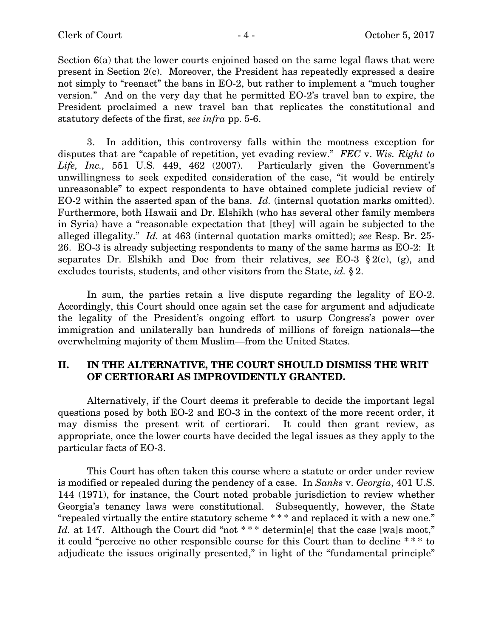Section 6(a) that the lower courts enjoined based on the same legal flaws that were present in Section 2(c). Moreover, the President has repeatedly expressed a desire not simply to "reenact" the bans in EO-2, but rather to implement a "much tougher version." And on the very day that he permitted EO-2's travel ban to expire, the President proclaimed a new travel ban that replicates the constitutional and statutory defects of the first, *see infra* pp. 5-6.

3. In addition, this controversy falls within the mootness exception for disputes that are "capable of repetition, yet evading review." *FEC* v. *Wis. Right to Life, Inc.,* 551 U.S. 449, 462 (2007). Particularly given the Government's unwillingness to seek expedited consideration of the case, "it would be entirely unreasonable" to expect respondents to have obtained complete judicial review of EO-2 within the asserted span of the bans. *Id.* (internal quotation marks omitted). Furthermore, both Hawaii and Dr. Elshikh (who has several other family members in Syria) have a "reasonable expectation that [they] will again be subjected to the alleged illegality." *Id.* at 463 (internal quotation marks omitted); *see* Resp. Br. 25- 26. EO-3 is already subjecting respondents to many of the same harms as EO-2: It separates Dr. Elshikh and Doe from their relatives, *see* EO-3 § 2(e), (g), and excludes tourists, students, and other visitors from the State, *id.* § 2.

In sum, the parties retain a live dispute regarding the legality of EO-2. Accordingly, this Court should once again set the case for argument and adjudicate the legality of the President's ongoing effort to usurp Congress's power over immigration and unilaterally ban hundreds of millions of foreign nationals—the overwhelming majority of them Muslim—from the United States.

## II. IN THE ALTERNATIVE, THE COURT SHOULD DISMISS THE WRIT OF CERTIORARI AS IMPROVIDENTLY GRANTED.

Alternatively, if the Court deems it preferable to decide the important legal questions posed by both EO-2 and EO-3 in the context of the more recent order, it may dismiss the present writ of certiorari. It could then grant review, as appropriate, once the lower courts have decided the legal issues as they apply to the particular facts of EO-3.

This Court has often taken this course where a statute or order under review is modified or repealed during the pendency of a case. In *Sanks* v. *Georgia*, 401 U.S. 144 (1971), for instance, the Court noted probable jurisdiction to review whether Georgia's tenancy laws were constitutional. Subsequently, however, the State "repealed virtually the entire statutory scheme \* \* \* and replaced it with a new one." Id. at 147. Although the Court did "not \*\*\* determine helph that the case [wa]s moot," it could "perceive no other responsible course for this Court than to decline \* \* \* to adjudicate the issues originally presented," in light of the "fundamental principle"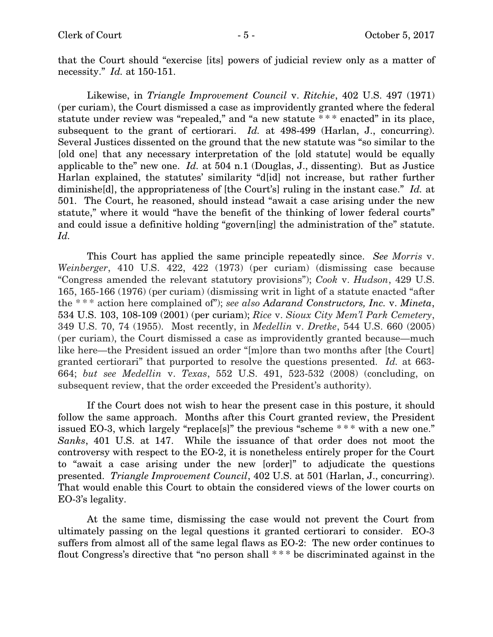that the Court should "exercise [its] powers of judicial review only as a matter of necessity." *Id.* at 150-151.

Likewise, in *Triangle Improvement Council* v. *Ritchie*, 402 U.S. 497 (1971) (per curiam), the Court dismissed a case as improvidently granted where the federal statute under review was "repealed," and "a new statute \* \* \* enacted" in its place, subsequent to the grant of certiorari. *Id.* at 498-499 (Harlan, J., concurring). Several Justices dissented on the ground that the new statute was "so similar to the [old one] that any necessary interpretation of the [old statute] would be equally applicable to the" new one. *Id.* at 504 n.1 (Douglas, J., dissenting). But as Justice Harlan explained, the statutes' similarity "d[id] not increase, but rather further diminishe[d], the appropriateness of [the Court's] ruling in the instant case." *Id.* at 501. The Court, he reasoned, should instead "await a case arising under the new statute," where it would "have the benefit of the thinking of lower federal courts" and could issue a definitive holding "govern[ing] the administration of the" statute. *Id.*

This Court has applied the same principle repeatedly since. *See Morris* v. *Weinberger*, 410 U.S. 422, 422 (1973) (per curiam) (dismissing case because "Congress amended the relevant statutory provisions"); *Cook* v. *Hudson*, 429 U.S. 165, 165-166 (1976) (per curiam) (dismissing writ in light of a statute enacted "after the \* \* \* action here complained of"); *see also Adarand Constructors, Inc.* v. *Mineta*, 534 U.S. 103, 108-109 (2001) (per curiam); *Rice* v. *Sioux City Mem'l Park Cemetery*, 349 U.S. 70, 74 (1955). Most recently, in *Medellin* v. *Dretke*, 544 U.S. 660 (2005) (per curiam), the Court dismissed a case as improvidently granted because—much like here—the President issued an order "[m]ore than two months after [the Court] granted certiorari" that purported to resolve the questions presented. *Id.* at 663- 664; *but see Medellin* v. *Texas*, 552 U.S. 491, 523-532 (2008) (concluding, on subsequent review, that the order exceeded the President's authority).

If the Court does not wish to hear the present case in this posture, it should follow the same approach. Months after this Court granted review, the President issued EO-3, which largely "replace[s]" the previous "scheme \* \* \* with a new one." *Sanks*, 401 U.S. at 147. While the issuance of that order does not moot the controversy with respect to the EO-2, it is nonetheless entirely proper for the Court to "await a case arising under the new [order]" to adjudicate the questions presented. *Triangle Improvement Council*, 402 U.S. at 501 (Harlan, J., concurring). That would enable this Court to obtain the considered views of the lower courts on EO-3's legality.

At the same time, dismissing the case would not prevent the Court from ultimately passing on the legal questions it granted certiorari to consider. EO-3 suffers from almost all of the same legal flaws as EO-2: The new order continues to flout Congress's directive that "no person shall \* \* \* be discriminated against in the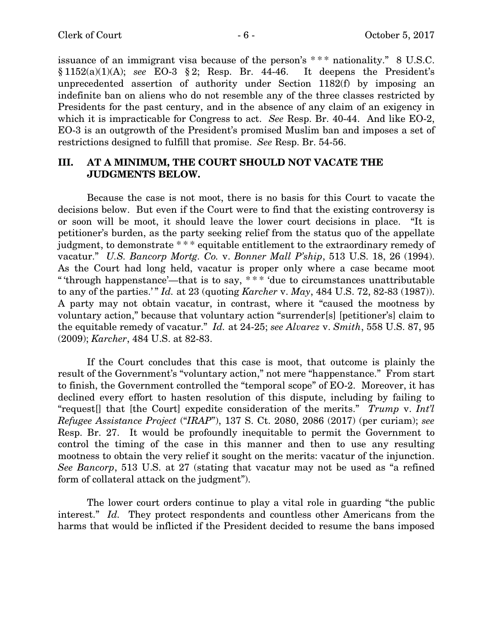issuance of an immigrant visa because of the person's \* \* \* nationality." 8 U.S.C. § 1152(a)(1)(A); *see* EO-3 § 2; Resp. Br. 44-46. It deepens the President's unprecedented assertion of authority under Section 1182(f) by imposing an indefinite ban on aliens who do not resemble any of the three classes restricted by Presidents for the past century, and in the absence of any claim of an exigency in which it is impracticable for Congress to act. *See* Resp. Br. 40-44. And like EO-2, EO-3 is an outgrowth of the President's promised Muslim ban and imposes a set of restrictions designed to fulfill that promise. *See* Resp. Br. 54-56.

## III. AT A MINIMUM, THE COURT SHOULD NOT VACATE THE JUDGMENTS BELOW.

Because the case is not moot, there is no basis for this Court to vacate the decisions below. But even if the Court were to find that the existing controversy is or soon will be moot, it should leave the lower court decisions in place. "It is petitioner's burden, as the party seeking relief from the status quo of the appellate judgment, to demonstrate \* \* \* equitable entitlement to the extraordinary remedy of vacatur." *U.S. Bancorp Mortg. Co.* v. *Bonner Mall P'ship*, 513 U.S. 18, 26 (1994). As the Court had long held, vacatur is proper only where a case became moot " 'through happenstance'—that is to say, \* \* \* 'due to circumstances unattributable to any of the parties.' " *Id.* at 23 (quoting *Karcher* v. *May*, 484 U.S. 72, 82-83 (1987)). A party may not obtain vacatur, in contrast, where it "caused the mootness by voluntary action," because that voluntary action "surrender[s] [petitioner's] claim to the equitable remedy of vacatur." *Id.* at 24-25; *see Alvarez* v. *Smith*, 558 U.S. 87, 95 (2009); *Karcher*, 484 U.S. at 82-83.

If the Court concludes that this case is moot, that outcome is plainly the result of the Government's "voluntary action," not mere "happenstance." From start to finish, the Government controlled the "temporal scope" of EO-2. Moreover, it has declined every effort to hasten resolution of this dispute, including by failing to "request[] that [the Court] expedite consideration of the merits." *Trump* v. *Int'l Refugee Assistance Project* ("*IRAP*"), 137 S. Ct. 2080, 2086 (2017) (per curiam); *see* Resp. Br. 27. It would be profoundly inequitable to permit the Government to control the timing of the case in this manner and then to use any resulting mootness to obtain the very relief it sought on the merits: vacatur of the injunction. *See Bancorp*, 513 U.S. at 27 (stating that vacatur may not be used as "a refined form of collateral attack on the judgment").

The lower court orders continue to play a vital role in guarding "the public interest." *Id.* They protect respondents and countless other Americans from the harms that would be inflicted if the President decided to resume the bans imposed